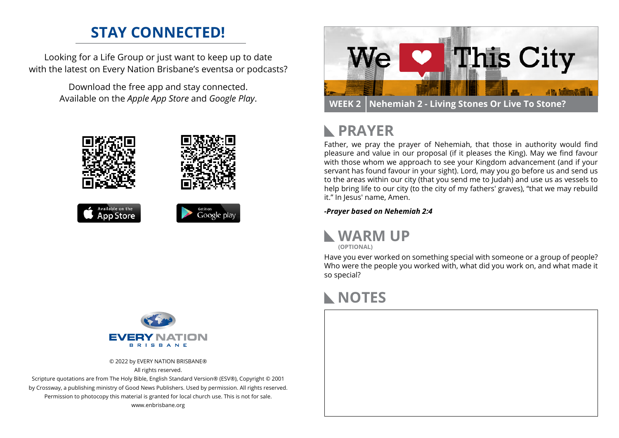#### **STAY CONNECTED!**

Looking for a Life Group or just want to keep up to date with the latest on Every Nation Brisbane's eventsa or podcasts?

> Download the free app and stay connected. Available on the *Apple App Store* and *Google Play*.





© 2022 by EVERY NATION BRISBANE® All rights reserved.

Scripture quotations are from The Holy Bible, English Standard Version® (ESV®), Copyright © 2001 by Crossway, a publishing ministry of Good News Publishers. Used by permission. All rights reserved. Permission to photocopy this material is granted for local church use. This is not for sale. www.enbrisbane.org



# **PRAYER**

Father, we pray the prayer of Nehemiah, that those in authority would find pleasure and value in our proposal (if it pleases the King). May we find favour with those whom we approach to see your Kingdom advancement (and if your servant has found favour in your sight). Lord, may you go before us and send us to the areas within our city (that you send me to Judah) and use us as vessels to help bring life to our city (to the city of my fathers' graves), "that we may rebuild it." In Jesus' name, Amen.

*-Prayer based on Nehemiah 2:4*



**(OPTIONAL)**

Have you ever worked on something special with someone or a group of people? Who were the people you worked with, what did you work on, and what made it so special?

## **NOTES**